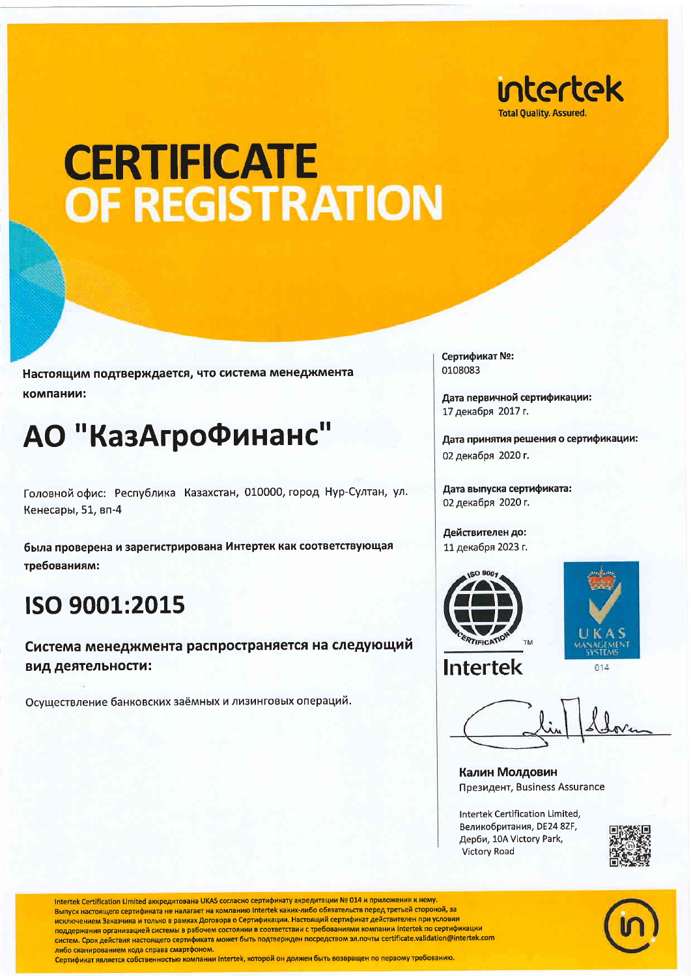

## **CERTIFICATE** OF REGISTRATION

Настоящим подтверждается, что система менеджмента компании:

### АО "КазАгроФинанс"

Головной офис: Республика Казахстан, 010000, город Нур-Султан, ул. Кенесары, 51, вп-4

была проверена и зарегистрирована Интертек как соответствующая требованиям:

#### ISO 9001:2015

Система менеджмента распространяется на следующий вид деятельности:

Осуществление банковских заёмных и лизинговых операций.

Сертификат Nº: 0108083

Дата первичной сертификации: 17 декабря 2017 г.

Дата принятия решения о сертификации: 02 декабря 2020 г.

Дата выпуска сертификата: 02 декабря 2020 г.

Действителен до: 11 декабря 2023 г.





**Intertek** 

Калин Молдовин Президент, Business Assurance

Intertek Certification Limited, Великобритания, DE24 8ZF, Дерби, 10A Victory Park, Victory Road





Intertek Certification Limited аккредитована UKAS согласно сертификату акредитации № 014 и приложения к нему. Выпуск настоящего сертификата не налагает на компанию Intertek каких-либо обязательств перед третьей стороной, за исключением Заказчика и только в рамках Договора о Сертификации. Настоящий сертификат действителен при условии поддержания организацией системы в рабочем состоянии в соответствии с требованиями компании Intertek по сертификации систем. Срок действия настоящего сертификата может быть подтвержден посредством эл почты certificate validation@intertek.com либо сканированием кода справа смартфоном.

Сертификат является собственностью компании Intertek, которой он должен быть возвращен по первому требованию.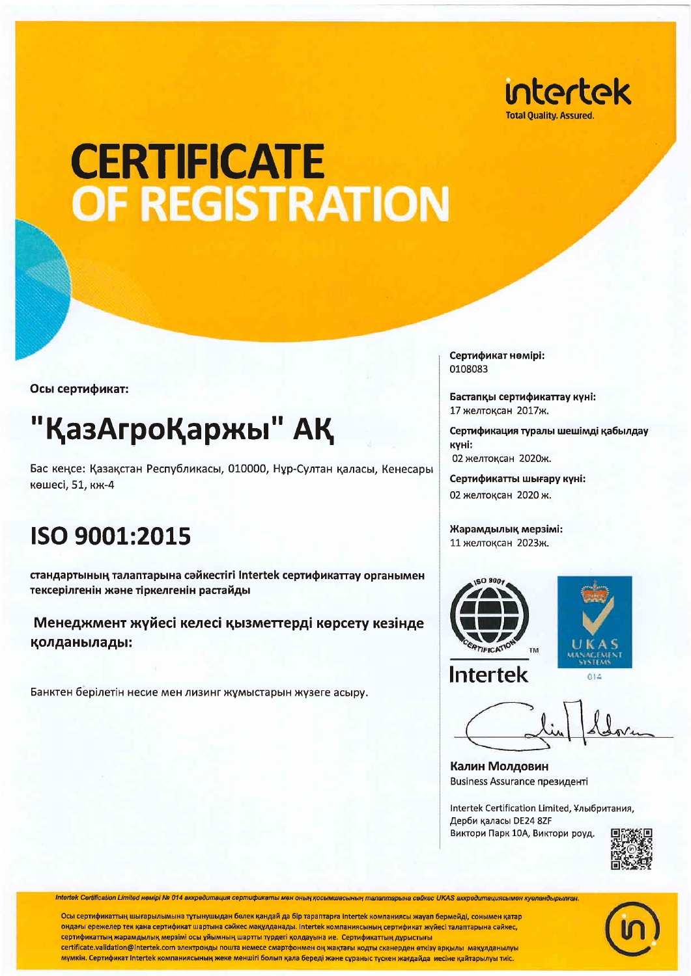

# **CERTIFICATE<br>OF REGISTRATION**

Осы сертификат:

## "ҚазАгроҚаржы" АҚ

Бас кеңсе: Қазақстан Республикасы, 010000, Нұр-Султан қаласы, Кенесары xeueci,51, xx-4

### ISO 9001:2015

стандартының талаптарына сәйкестігі Intertek сертификаттау органымен тексерілгенін және тіркелгенін растайды

Mенеджмент жүйесі келесі қызметтерді көрсету кезінде колданылады:

Банктен берілетін несие мен лизинг жұмыстарын жүзеге асыру.

Сертификат нөмірі: 0108083

Бастапқы сертификаттау күні: 17 желтоксан 2017ж.

Сертификация туралы шешімді қабылдау xyni: 02 желтоқсан 2020ж.

Сертификатты шығару күні: 02 желтоксан 2020 ж.

Жарамдылық мерзімі: 11 желтоқсан 2023ж.



lntertek

Калин Молдовин Business Assurance президенті

Intertek Certification Limited, Ұлыбритания, Дерби каласы DE24 8ZF Виктори Парк 10A, Виктори роуд.



Intertek Certification Limited немірі № 014 аккредитация сертификаты мен оның қосымшасының талаптарына сейкес UKAS аккредитациясымен куеландырылған,

Осы сертификаттың шығарылымына тұтынушыдан бөлек қандай да бір тараптарға Intertek компаниясы жауап бермейді, сонымен қатар ондағы ережелер тек қана сертификат шартына сәйкес мақұлданады. Intertek компаниясының сертификат жүйесі талаптарына сәйкес, сертификаттың жарамдылық мерзімі осы ұйымның шартты түрдегі қолдауына ие. Сертификаттың дұрыстығы certificate.validation@intertek.com электронды пошта немесе смартфонмен оң жақтағы кодты сканерден өткізу арқылы мақұлданылуы мүмкін. Сертификат Intertek компаниясының жеке меншігі болып қала береді және сұраныс түскен жағдайда иесіне қайтарылуы тиіс.